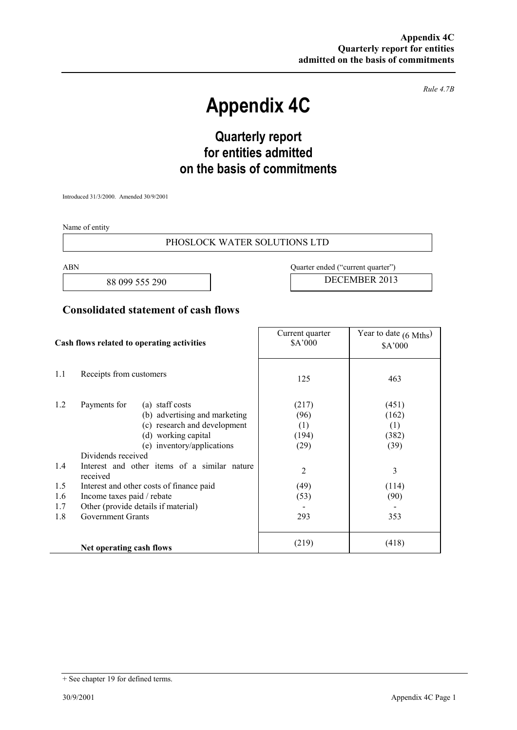*Rule 4.7B* 

# **Appendix 4C**

## **Quarterly report for entities admitted on the basis of commitments**

Introduced 31/3/2000. Amended 30/9/2001

Name of entity

#### PHOSLOCK WATER SOLUTIONS LTD

ABN Quarter ended ("current quarter")

88 099 555 290 DECEMBER 2013

### **Consolidated statement of cash flows**

| Cash flows related to operating activities |                                                                                                                                                                             | Current quarter<br>\$A'000            | Year to date $(6 \text{ Mths})$<br>\$A'000 |
|--------------------------------------------|-----------------------------------------------------------------------------------------------------------------------------------------------------------------------------|---------------------------------------|--------------------------------------------|
| 1.1                                        | Receipts from customers                                                                                                                                                     | 125                                   | 463                                        |
| 1.2                                        | Payments for<br>(a) staff costs<br>(b) advertising and marketing<br>(c) research and development<br>(d) working capital<br>(e) inventory/applications<br>Dividends received | (217)<br>(96)<br>(1)<br>(194)<br>(29) | (451)<br>(162)<br>(1)<br>(382)<br>(39)     |
| 1.4                                        | Interest and other items of a similar nature<br>received                                                                                                                    | $\overline{2}$                        | 3                                          |
| 1.5                                        | Interest and other costs of finance paid                                                                                                                                    | (49)                                  | (114)                                      |
| 1.6                                        | Income taxes paid / rebate                                                                                                                                                  | (53)                                  | (90)                                       |
| 1.7                                        | Other (provide details if material)                                                                                                                                         |                                       |                                            |
| 1.8                                        | <b>Government Grants</b>                                                                                                                                                    | 293                                   | 353                                        |
|                                            | Net operating cash flows                                                                                                                                                    | (219)                                 | (418)                                      |

<sup>+</sup> See chapter 19 for defined terms.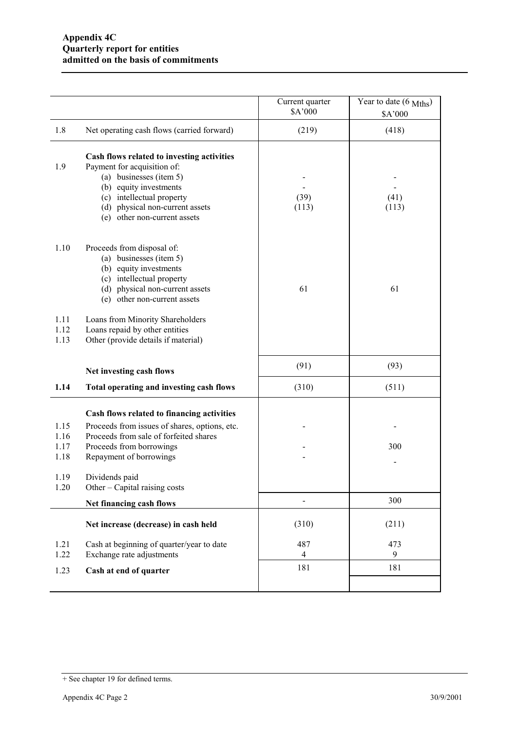|                              |                                                                                                                                                                                                                                | Current quarter<br>\$A'000 | Year to date (6 Mths)<br>\$A'000 |
|------------------------------|--------------------------------------------------------------------------------------------------------------------------------------------------------------------------------------------------------------------------------|----------------------------|----------------------------------|
| 1.8                          | Net operating cash flows (carried forward)                                                                                                                                                                                     | (219)                      | (418)                            |
| 1.9                          | Cash flows related to investing activities<br>Payment for acquisition of:<br>(a) businesses (item 5)<br>(b) equity investments<br>(c) intellectual property<br>(d) physical non-current assets<br>(e) other non-current assets | (39)<br>(113)              | (41)<br>(113)                    |
| 1.10                         | Proceeds from disposal of:<br>(a) businesses (item 5)<br>(b) equity investments<br>(c) intellectual property<br>(d) physical non-current assets<br>(e) other non-current assets                                                | 61                         | 61                               |
| 1.11<br>1.12<br>1.13         | Loans from Minority Shareholders<br>Loans repaid by other entities<br>Other (provide details if material)                                                                                                                      |                            |                                  |
|                              | Net investing cash flows                                                                                                                                                                                                       | (91)                       | (93)                             |
| 1.14                         | Total operating and investing cash flows                                                                                                                                                                                       | (310)                      | (511)                            |
| 1.15<br>1.16<br>1.17<br>1.18 | Cash flows related to financing activities<br>Proceeds from issues of shares, options, etc.<br>Proceeds from sale of forfeited shares<br>Proceeds from borrowings<br>Repayment of borrowings                                   |                            | 300                              |
| 1.19<br>1.20                 | Dividends paid<br>Other – Capital raising costs                                                                                                                                                                                |                            |                                  |
|                              | Net financing cash flows                                                                                                                                                                                                       |                            | 300                              |
|                              | Net increase (decrease) in cash held                                                                                                                                                                                           | (310)                      | (211)                            |
| 1.21<br>1.22                 | Cash at beginning of quarter/year to date<br>Exchange rate adjustments                                                                                                                                                         | 487<br>$\overline{4}$      | 473<br>9                         |
| 1.23                         | Cash at end of quarter                                                                                                                                                                                                         | 181                        | 181                              |
|                              |                                                                                                                                                                                                                                |                            |                                  |

<sup>+</sup> See chapter 19 for defined terms.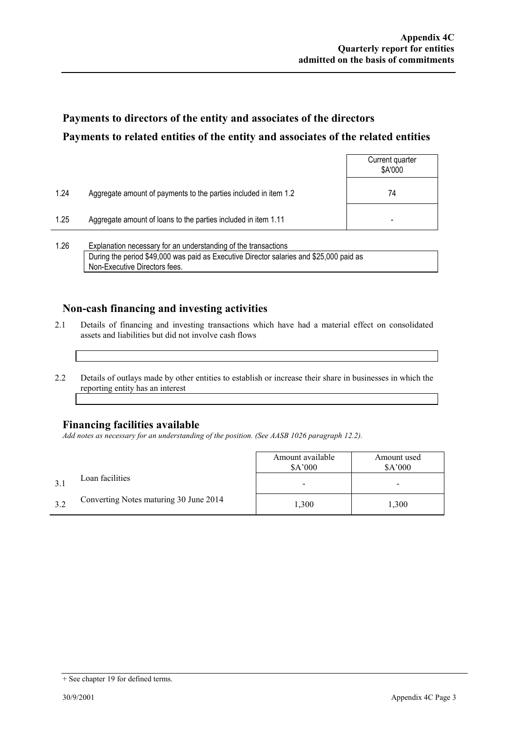### **Payments to directors of the entity and associates of the directors Payments to related entities of the entity and associates of the related entities**

|      |                                                                  | Current quarter<br>\$A'000 |
|------|------------------------------------------------------------------|----------------------------|
| 1.24 | Aggregate amount of payments to the parties included in item 1.2 | 74                         |
| 1.25 | Aggregate amount of loans to the parties included in item 1.11   | -                          |
|      |                                                                  |                            |

1.26 Explanation necessary for an understanding of the transactions During the period \$49,000 was paid as Executive Director salaries and \$25,000 paid as Non-Executive Directors fees.

### **Non-cash financing and investing activities**

- 2.1 Details of financing and investing transactions which have had a material effect on consolidated assets and liabilities but did not involve cash flows
- 2.2 Details of outlays made by other entities to establish or increase their share in businesses in which the reporting entity has an interest

#### **Financing facilities available**

*Add notes as necessary for an understanding of the position. (See AASB 1026 paragraph 12.2).* 

|     |                                        | Amount available<br>\$A'000 | Amount used<br>\$A'000 |
|-----|----------------------------------------|-----------------------------|------------------------|
|     | Loan facilities                        |                             | -                      |
| 3.2 | Converting Notes maturing 30 June 2014 | 1,300                       | 1,300                  |

<sup>+</sup> See chapter 19 for defined terms.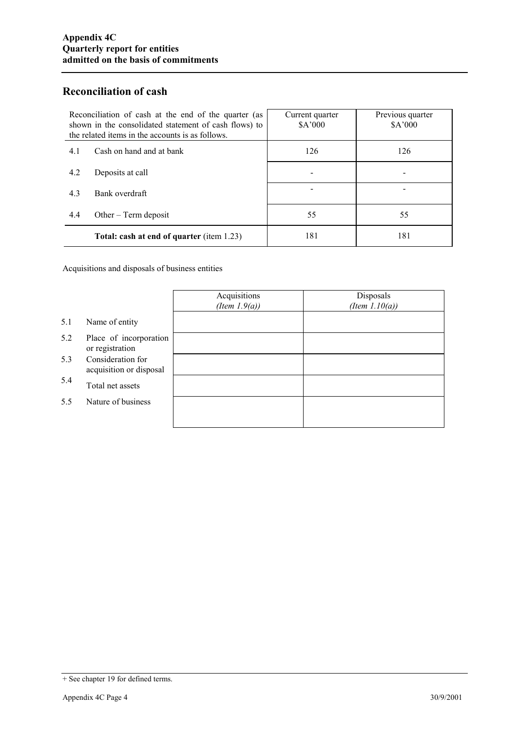### **Reconciliation of cash**

| Reconciliation of cash at the end of the quarter (as<br>shown in the consolidated statement of cash flows) to<br>the related items in the accounts is as follows. | Current quarter<br>\$A'000 | Previous quarter<br>\$A'000 |
|-------------------------------------------------------------------------------------------------------------------------------------------------------------------|----------------------------|-----------------------------|
| Cash on hand and at bank<br>4.1                                                                                                                                   | 126                        | 126                         |
| 4.2<br>Deposits at call                                                                                                                                           |                            |                             |
| 4.3<br>Bank overdraft                                                                                                                                             |                            |                             |
| 4.4<br>Other $-$ Term deposit                                                                                                                                     | 55                         | 55                          |
| <b>Total: cash at end of quarter (item 1.23)</b>                                                                                                                  | 181                        | 181                         |

Acquisitions and disposals of business entities

|     |                                              | Acquisitions<br>(Item $1.9(a)$ ) | Disposals<br>(Item $1.10(a)$ ) |
|-----|----------------------------------------------|----------------------------------|--------------------------------|
| 5.1 | Name of entity                               |                                  |                                |
| 5.2 | Place of incorporation<br>or registration    |                                  |                                |
| 5.3 | Consideration for<br>acquisition or disposal |                                  |                                |
| 5.4 | Total net assets                             |                                  |                                |
| 5.5 | Nature of business                           |                                  |                                |
|     |                                              |                                  |                                |

<sup>+</sup> See chapter 19 for defined terms.